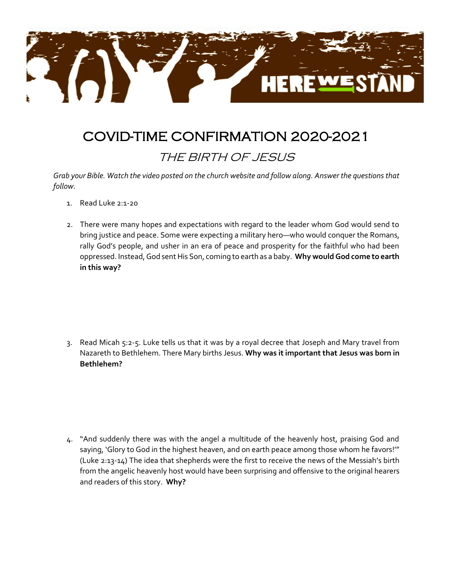

## COVID-TIME CONFIRMATION 2020-2021

## THE BIRTH OF JESUS

*Grab your Bible. Watch the video posted on the church website and follow along. Answer the questions that follow.*

- 1. Read Luke 2:1-20
- 2. There were many hopes and expectations with regard to the leader whom God would send to bring justice and peace. Some were expecting a military hero—who would conquer the Romans, rally God's people, and usher in an era of peace and prosperity for the faithful who had been oppressed. Instead, God sent His Son, coming to earth as a baby. **Why would God come to earth in this way?**

3. Read Micah 5:2-5. Luke tells us that it was by a royal decree that Joseph and Mary travel from Nazareth to Bethlehem. There Mary births Jesus. **Why was it important that Jesus was born in Bethlehem?**

4. "And suddenly there was with the angel a multitude of the heavenly host, praising God and saying, 'Glory to God in the highest heaven, and on earth peace among those whom he favors!'" (Luke 2:13-14) The idea that shepherds were the first to receive the news of the Messiah's birth from the angelic heavenly host would have been surprising and offensive to the original hearers and readers of this story. **Why?**